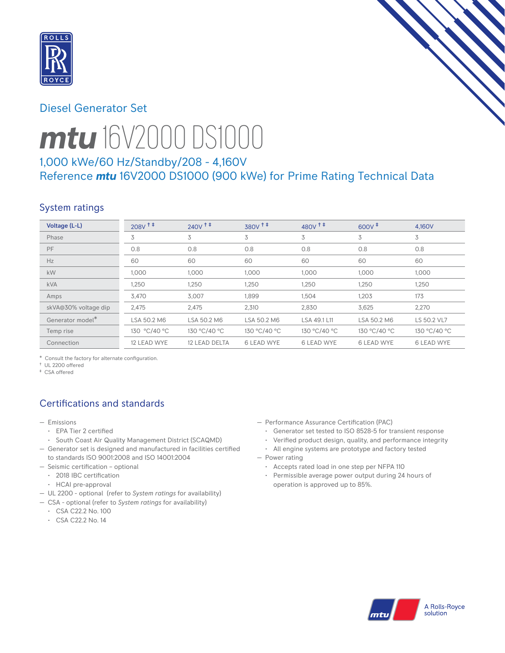

# Diesel Generator Set



# *mtu* 16V2000 DS1000

# 1,000 kWe/60 Hz/Standby/208 - 4,160V Reference *mtu* 16V2000 DS1000 (900 kWe) for Prime Rating Technical Data

# System ratings

| Voltage (L-L)                | $208V$ <sup>†</sup> | $240V$ <sup>++</sup> | 380V <sup>++</sup> | $480V$ <sup>++</sup> | $600V^+$          | 4.160V            |
|------------------------------|---------------------|----------------------|--------------------|----------------------|-------------------|-------------------|
| Phase                        | 3                   | 3                    | 3                  | 3                    | 3                 | 3                 |
| PF                           | 0.8                 | 0.8                  | 0.8                | 0.8                  | 0.8               | 0.8               |
| Hz                           | 60                  | 60                   | 60                 | 60                   | 60                | 60                |
| kW                           | 1.000               | 1.000                | 1,000              | 1.000                | 1,000             | 1,000             |
| <b>kVA</b>                   | 1,250               | 1,250                | 1,250              | 1,250                | 1,250             | 1,250             |
| Amps                         | 3,470               | 3,007                | 1,899              | 1,504                | 1,203             | 173               |
| skVA@30% voltage dip         | 2,475               | 2,475                | 2,310              | 2,830                | 3,625             | 2,270             |
| Generator model <sup>*</sup> | LSA 50.2 M6         | LSA 50.2 M6          | LSA 50.2 M6        | LSA 49.1 L11         | LSA 50.2 M6       | LS 50.2 VL7       |
| Temp rise                    | 130 °C/40 °C        | 130 °C/40 °C         | 130 °C/40 °C       | 130 °C/40 °C         | 130 °C/40 °C      | 130 °C/40 °C      |
| Connection                   | 12 LEAD WYE         | 12 LEAD DELTA        | <b>6 LEAD WYE</b>  | <b>6 LEAD WYE</b>    | <b>6 LEAD WYE</b> | <b>6 LEAD WYE</b> |

\* Consult the factory for alternate configuration.

† UL 2200 offered ‡ CSA offered

# Certifications and standards

- Emissions
	- EPA Tier 2 certified
	- South Coast Air Quality Management District (SCAQMD)
- Generator set is designed and manufactured in facilities certified to standards ISO 9001:2008 and ISO 14001:2004
- Seismic certification optional
	- 2018 IBC certification
	- HCAI pre-approval
- UL 2200 optional (refer to *System ratings* for availability)
- CSA optional (refer to *System ratings* for availability)
	- CSA C22.2 No. 100
	- CSA C22.2 No. 14
- Performance Assurance Certification (PAC)
	- Generator set tested to ISO 8528-5 for transient response
	- Verified product design, quality, and performance integrity
- All engine systems are prototype and factory tested — Power rating
	- Accepts rated load in one step per NFPA 110
	- Permissible average power output during 24 hours of operation is approved up to 85%.

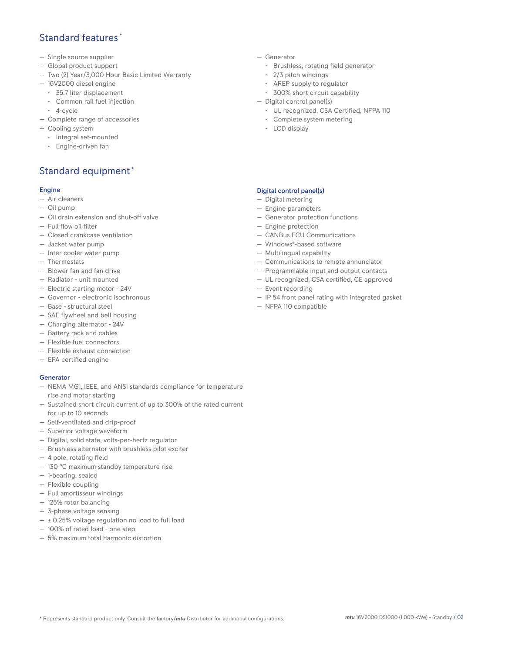## Standard features \*

- Single source supplier
- Global product support
- Two (2) Year/3,000 Hour Basic Limited Warranty
- 16V2000 diesel engine
	- 35.7 liter displacement
	- Common rail fuel injection
- 4-cycle
- Complete range of accessories
- Cooling system
	- Integral set-mounted
	- Engine-driven fan

## Standard equipment \*

#### Engine

- Air cleaners
- Oil pump
- Oil drain extension and shut-off valve
- Full flow oil filter
- Closed crankcase ventilation
- Jacket water pump
- Inter cooler water pump
- Thermostats
- Blower fan and fan drive
- Radiator unit mounted
- Electric starting motor 24V
- Governor electronic isochronous
- Base structural steel
- SAE flywheel and bell housing
- Charging alternator 24V
- Battery rack and cables
- Flexible fuel connectors
- Flexible exhaust connection
- EPA certified engine

### **Generator**

- NEMA MG1, IEEE, and ANSI standards compliance for temperature rise and motor starting
- Sustained short circuit current of up to 300% of the rated current for up to 10 seconds
- Self-ventilated and drip-proof
- Superior voltage waveform
- Digital, solid state, volts-per-hertz regulator
- Brushless alternator with brushless pilot exciter
- 4 pole, rotating field
- 130 °C maximum standby temperature rise
- 1-bearing, sealed
- Flexible coupling
- Full amortisseur windings
- 125% rotor balancing
- 3-phase voltage sensing
- $\pm$  0.25% voltage regulation no load to full load
- 100% of rated load one step
- 5% maximum total harmonic distortion
- Generator
	- Brushless, rotating field generator
	- 2/3 pitch windings
	- AREP supply to regulator
	- 300% short circuit capability
- Digital control panel(s)
	- UL recognized, CSA Certified, NFPA 110
	- Complete system metering
	- LCD display

### Digital control panel(s)

- Digital metering
- Engine parameters
- Generator protection functions
- Engine protection
- CANBus ECU Communications
- Windows®-based software
- Multilingual capability
- Communications to remote annunciator
- Programmable input and output contacts
- UL recognized, CSA certified, CE approved
- Event recording
- IP 54 front panel rating with integrated gasket
- NFPA 110 compatible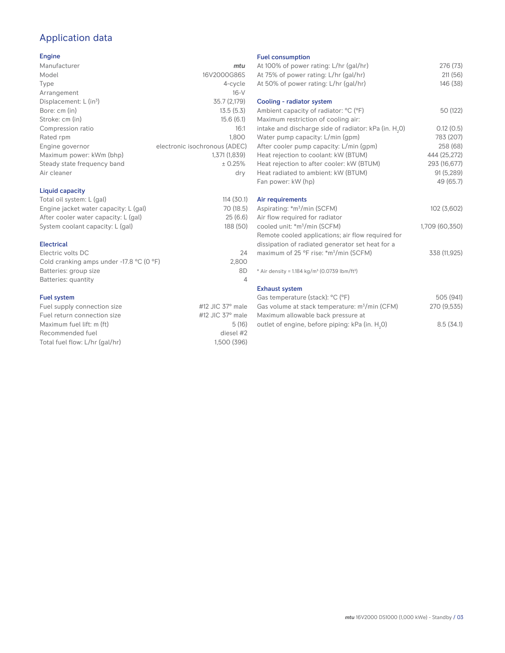# Application data

#### Engine

| Manufacturer                                                                                                    | mtu                           |
|-----------------------------------------------------------------------------------------------------------------|-------------------------------|
| Model                                                                                                           | 16V2000G86S                   |
| Type                                                                                                            | 4-cycle                       |
| Arrangement                                                                                                     | $16-V$                        |
| Displacement: $L$ (in <sup>3</sup> )                                                                            | 35.7 (2,179)                  |
| Bore: cm (in)                                                                                                   | 13.5(5.3)                     |
| Stroke: cm (in)                                                                                                 | 15.6(6.1)                     |
| Compression ratio                                                                                               | 16:1                          |
| Rated rpm                                                                                                       | 1.800                         |
| Engine governor                                                                                                 | electronic isochronous (ADEC) |
| Maximum power: kWm (bhp)                                                                                        | 1,371 (1,839)                 |
| Steady state frequency band                                                                                     | ± 0.25%                       |
| Air cleaner                                                                                                     | dry                           |
|                                                                                                                 |                               |
| the contract of the contract of the contract of the contract of the contract of the contract of the contract of |                               |

## Liquid capacity

| Total oil system: L (gal)             | 114(30.1) |
|---------------------------------------|-----------|
| Engine jacket water capacity: L (gal) | 70 (18.5) |
| After cooler water capacity: L (gal)  | 25(6.6)   |
| System coolant capacity: L (gal)      | 188 (50)  |
|                                       |           |

### Electrical

| 24    |
|-------|
| 2.800 |
| 8D    |
|       |
|       |

### Fuel system

| Fuel supply connection size    | #12 JIC $37^\circ$ male |
|--------------------------------|-------------------------|
| Fuel return connection size    | #12 JIC $37^\circ$ male |
| Maximum fuel lift: m (ft)      | 5(16)                   |
| Recommended fuel               | diesel #2               |
| Total fuel flow: L/hr (gal/hr) | 1.500 (396)             |
|                                |                         |

#### Fuel consumption

| At 100% of power rating: L/hr (gal/hr)<br>At 75% of power rating: L/hr (gal/hr)<br>At 50% of power rating: L/hr (gal/hr) | 276 (73)<br>211(56)<br>146 (38) |
|--------------------------------------------------------------------------------------------------------------------------|---------------------------------|
| Cooling - radiator system                                                                                                |                                 |
| Ambient capacity of radiator: °C (°F)<br>Maximum restriction of cooling air:                                             | 50 (122)                        |
| intake and discharge side of radiator: kPa (in. H <sub>2</sub> O)                                                        | 0.12(0.5)                       |
| Water pump capacity: L/min (gpm)                                                                                         | 783 (207)                       |
| After cooler pump capacity: L/min (gpm)                                                                                  | 258 (68)                        |
| Heat rejection to coolant: kW (BTUM)                                                                                     | 444 (25,272)                    |
| Heat rejection to after cooler: kW (BTUM)<br>Heat radiated to ambient: kW (BTUM)                                         | 293 (16,677)<br>91 (5,289)      |
| Fan power: kW (hp)                                                                                                       | 49 (65.7)                       |
|                                                                                                                          |                                 |
| Air requirements                                                                                                         |                                 |
| Aspirating: *m <sup>3</sup> /min (SCFM)                                                                                  | 102 (3,602)                     |
| Air flow required for radiator                                                                                           |                                 |
| cooled unit: *m <sup>3</sup> /min (SCFM)                                                                                 | 1,709 (60,350)                  |
| Remote cooled applications; air flow required for                                                                        |                                 |
| dissipation of radiated generator set heat for a                                                                         |                                 |
| maximum of 25 °F rise: *m <sup>3</sup> /min (SCFM)                                                                       | 338 (11,925)                    |
| * Air density = 1.184 kg/m <sup>3</sup> (0.0739 lbm/ft <sup>3</sup> )                                                    |                                 |
| <b>Exhaust system</b>                                                                                                    |                                 |
| Gas temperature (stack): °C (°F)                                                                                         | 505 (941)                       |
| Gas volume at stack temperature: m <sup>3</sup> /min (CFM)                                                               | 270 (9,535)                     |
| Maximum allowable back pressure at                                                                                       |                                 |
| outlet of engine, before piping: kPa (in. H <sub>2</sub> 0)                                                              | 8.5(34.1)                       |

outlet of engine, before piping: kPa (in.  ${\sf H}_{_2}$